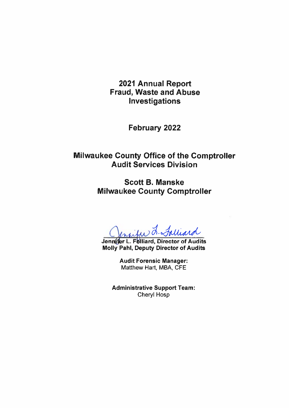2021 Annual Report **Fraud, Waste and Abuse** Investigations

February 2022

**Milwaukee County Office of the Comptroller Audit Services Division** 

> **Scott B. Manske Milwaukee County Comptroller**

Jensife L. Falliard

Jennifer L. Folliard, Director of Audits **Molly Pahl, Deputy Director of Audits** 

> **Audit Forensic Manager:** Matthew Hart, MBA, CFE

**Administrative Support Team: Cheryl Hosp**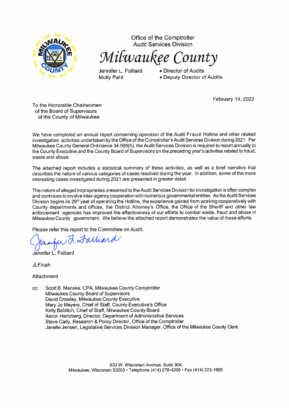

Office of the Comptroller **Audit Services Division** 

Milwaukee County

Jennifer L. Folliard **Molly Pahl** 

• Director of Audits • Deputy Director of Audits

February 14, 2022

To the Honorable Chairwomen of the Board of Supervisors of the County of Milwaukee

We have completed an annual report concerning operation of the Audit Fraud Hotline and other related investigation activities undertaken by the Office of the Comptroller's Audit Services Division during 2021. Per Milwaukee County General Ordinance 34.095(h), the Audit Services Division is required to report annually to the County Executive and the County Board of Supervisors on the preceding year's activities related to fraud, waste and abuse.

The attached report includes a statistical summary of these activities, as well as a brief narrative that describes the nature of various categories of cases resolved during the year. In addition, some of the more interesting cases investigated during 2021 are presented in greater detail.

The nature of alleged improprieties presented to the Audit Services Division for investigation is often complex and continues to involve inter-agency cooperation with numerous governmental entities. As the Audit Services Division begins its 29<sup>th</sup> year of operating the Hotline, the experience gained from working cooperatively with County departments and offices, the District Attorney's Office, the Office of the Sheriff and other law enforcement agencies has improved the effectiveness of our efforts to combat waste, fraud and abuse in Milwaukee County government. We believe the attached report demonstrates the value of those efforts.

Please refer this report to the Committee on Audit.

w. J. Falliard

Jennifer L. Folliard

JLF/cah

Attachment

cc: Scott B. Manske, CPA, Milwaukee County Comptroller Milwaukee County Board of Supervisors David Crowley, Milwaukee County Executive Mary Jo Meyers, Chief of Staff, County Executive's Office Kelly Bablitch, Chief of Staff, Milwaukee County Board Aaron Hertzberg, Director, Department of Administrative Services Steve Cady, Research & Policy Director, Office of the Comptroller Janelle Jensen, Legislative Services Division Manager, Office of the Milwaukee County Clerk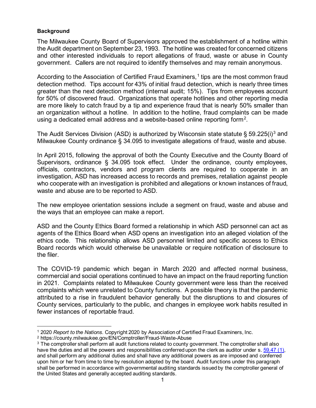### **Background**

The Milwaukee County Board of Supervisors approved the establishment of a hotline within the Audit department on September 23, 1993. The hotline was created for concerned citizens and other interested individuals to report allegations of fraud, waste or abuse in County government. Callers are not required to identify themselves and may remain anonymous.

According to the Association of Certified Fraud Examiners,<sup>[1](#page-2-0)</sup> tips are the most common fraud detection method. Tips account for 43% of initial fraud detection, which is nearly three times greater than the next detection method (internal audit; 15%). Tips from employees account for 50% of discovered fraud. Organizations that operate hotlines and other reporting media are more likely to catch fraud by a tip and experience fraud that is nearly 50% smaller than an organization without a hotline. In addition to the hotline, fraud complaints can be made using a dedicated email address and a website-based online reporting form<sup>[2](#page-2-1)</sup>.

The Audit Services Division (ASD) is authorized by Wisconsin state statute § 59.225(i)<sup>[3](#page-2-2)</sup> and Milwaukee County ordinance § 34.095 to investigate allegations of fraud, waste and abuse.

In April 2015, following the approval of both the County Executive and the County Board of Supervisors, ordinance § 34.095 took effect. Under the ordinance, county employees, officials, contractors, vendors and program clients are required to cooperate in an investigation, ASD has increased access to records and premises, retaliation against people who cooperate with an investigation is prohibited and allegations or known instances of fraud, waste and abuse are to be reported to ASD.

The new employee orientation sessions include a segment on fraud, waste and abuse and the ways that an employee can make a report.

ASD and the County Ethics Board formed a relationship in which ASD personnel can act as agents of the Ethics Board when ASD opens an investigation into an alleged violation of the ethics code. This relationship allows ASD personnel limited and specific access to Ethics Board records which would otherwise be unavailable or require notification of disclosure to the filer.

The COVID-19 pandemic which began in March 2020 and affected normal business, commercial and social operations continued to have an impact on the fraud reporting function in 2021. Complaints related to Milwaukee County government were less than the received complaints which were unrelated to County functions. A possible theory is that the pandemic attributed to a rise in fraudulent behavior generally but the disruptions to and closures of County services, particularly to the public, and changes in employee work habits resulted in fewer instances of reportable fraud.

<span id="page-2-0"></span><sup>1</sup> 2020 *Report to the Nations.* Copyright 2020 by Association of Certified Fraud Examiners, Inc.

<span id="page-2-1"></span><sup>2</sup> https://county.milwaukee.gov/EN/Comptroller/Fraud-Waste-Abuse

<span id="page-2-2"></span><sup>&</sup>lt;sup>3</sup> The comptroller shall perform all audit functions related to county government. The comptroller shall also have the duties and all the powers and responsibilities conferred upon the clerk as auditor under s[. 59.47 \(1\),](https://docs.legis.wisconsin.gov/document/statutes/59.47(1)) and shall perform any additional duties and shall have any additional powers as are imposed and conferred upon him or her from time to time by resolution adopted by the board. Audit functions under this paragraph shall be performed in accordance with governmental auditing standards issued by the comptroller general of the United States and generally accepted auditing standards.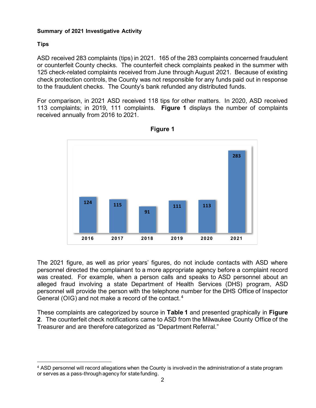# **Summary of 2021 Investigative Activity**

# **Tips**

ASD received 283 complaints (tips) in 2021. 165 of the 283 complaints concerned fraudulent or counterfeit County checks. The counterfeit check complaints peaked in the summer with 125 check-related complaints received from June through August 2021. Because of existing check protection controls, the County was not responsible for any funds paid out in response to the fraudulent checks. The County's bank refunded any distributed funds.

For comparison, in 2021 ASD received 118 tips for other matters. In 2020, ASD received 113 complaints; in 2019, 111 complaints. **Figure 1** displays the number of complaints received annually from 2016 to 2021.





The 2021 figure, as well as prior years' figures, do not include contacts with ASD where personnel directed the complainant to a more appropriate agency before a complaint record was created. For example, when a person calls and speaks to ASD personnel about an alleged fraud involving a state Department of Health Services (DHS) program, ASD personnel will provide the person with the telephone number for the DHS Office of Inspector General (OIG) and not make a record of the contact. [4](#page-3-0)

These complaints are categorized by source in **Table 1** and presented graphically in **Figure 2**. The counterfeit check notifications came to ASD from the Milwaukee County Office of the Treasurer and are therefore categorized as "Department Referral."

<span id="page-3-0"></span><sup>4</sup> ASD personnel will record allegations when the County is involved in the administration of a state program or serves as a pass-through agency for state funding.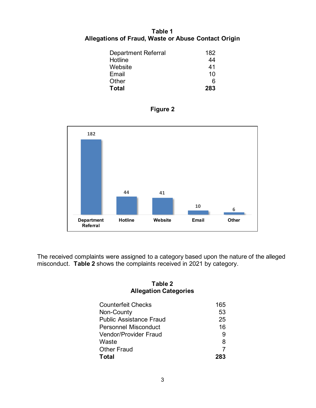# **Table 1 Allegations of Fraud, Waste or Abuse Contact Origin**

| Department Referral | 182 |
|---------------------|-----|
| Hotline             | 44  |
| Website             | 41  |
| Email               | 10  |
| Other               | 6   |
| <b>Total</b>        | 283 |





The received complaints were assigned to a category based upon the nature of the alleged misconduct. **Table 2** shows the complaints received in 2021 by category.

# **Table 2 Allegation Categories**

| <b>Counterfeit Checks</b>      | 165 |
|--------------------------------|-----|
| Non-County                     | 53  |
| <b>Public Assistance Fraud</b> | 25  |
| Personnel Misconduct           | 16  |
| <b>Vendor/Provider Fraud</b>   |     |
| Waste                          | 8   |
| <b>Other Fraud</b>             |     |
| Total                          |     |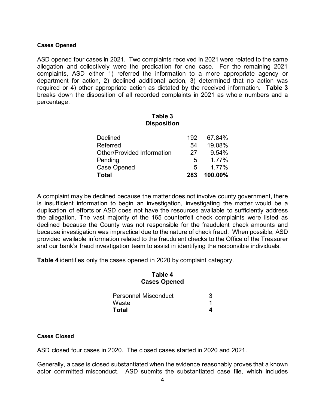#### **Cases Opened**

ASD opened four cases in 2021. Two complaints received in 2021 were related to the same allegation and collectively were the predication for one case. For the remaining 2021 complaints, ASD either 1) referred the information to a more appropriate agency or department for action, 2) declined additional action, 3) determined that no action was required or 4) other appropriate action as dictated by the received information. **Table 3**  breaks down the disposition of all recorded complaints in 2021 as whole numbers and a percentage.

### **Table 3 Disposition**

| <b>Total</b>                      | 283 | 100.00% |
|-----------------------------------|-----|---------|
| <b>Case Opened</b>                | 5   | 1.77%   |
| Pending                           | 5   | 1.77%   |
| <b>Other/Provided Information</b> | 27  | 9.54%   |
| Referred                          | 54  | 19.08%  |
| <b>Declined</b>                   | 192 | 67.84%  |
|                                   |     |         |

A complaint may be declined because the matter does not involve county government, there is insufficient information to begin an investigation, investigating the matter would be a duplication of efforts or ASD does not have the resources available to sufficiently address the allegation. The vast majority of the 165 counterfeit check complaints were listed as declined because the County was not responsible for the fraudulent check amounts and because investigation was impractical due to the nature of check fraud. When possible, ASD provided available information related to the fraudulent checks to the Office of the Treasurer and our bank's fraud investigation team to assist in identifying the responsible individuals.

**Table 4** identifies only the cases opened in 2020 by complaint category.

#### **Table 4 Cases Opened**

| <b>Personnel Misconduct</b> |  |
|-----------------------------|--|
| Waste                       |  |
| <b>Total</b>                |  |

#### **Cases Closed**

ASD closed four cases in 2020. The closed cases started in 2020 and 2021.

Generally, a case is closed substantiated when the evidence reasonably proves that a known actor committed misconduct. ASD submits the substantiated case file, which includes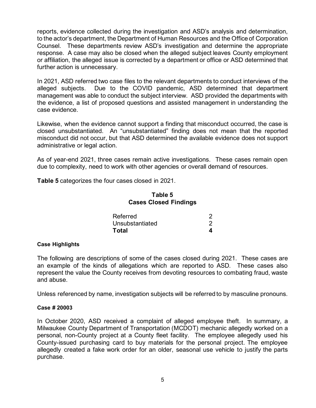reports, evidence collected during the investigation and ASD's analysis and determination, to the actor's department, the Department of Human Resources and the Office of Corporation Counsel. These departments review ASD's investigation and determine the appropriate response. A case may also be closed when the alleged subject leaves County employment or affiliation, the alleged issue is corrected by a department or office or ASD determined that further action is unnecessary.

In 2021, ASD referred two case files to the relevant departments to conduct interviews of the alleged subjects. Due to the COVID pandemic, ASD determined that department management was able to conduct the subject interview. ASD provided the departments with the evidence, a list of proposed questions and assisted management in understanding the case evidence.

Likewise, when the evidence cannot support a finding that misconduct occurred, the case is closed unsubstantiated. An "unsubstantiated" finding does not mean that the reported misconduct did not occur, but that ASD determined the available evidence does not support administrative or legal action.

As of year-end 2021, three cases remain active investigations. These cases remain open due to complexity, need to work with other agencies or overall demand of resources.

**Table 5** categorizes the four cases closed in 2021.

# **Table 5 Cases Closed Findings**

| Referred        |  |
|-----------------|--|
| Unsubstantiated |  |
| Total           |  |

#### **Case Highlights**

The following are descriptions of some of the cases closed during 2021. These cases are an example of the kinds of allegations which are reported to ASD. These cases also represent the value the County receives from devoting resources to combating fraud, waste and abuse.

Unless referenced by name, investigation subjects will be referred to by masculine pronouns.

#### **Case # 20003**

In October 2020, ASD received a complaint of alleged employee theft. In summary, a Milwaukee County Department of Transportation (MCDOT) mechanic allegedly worked on a personal, non-County project at a County fleet facility. The employee allegedly used his County-issued purchasing card to buy materials for the personal project. The employee allegedly created a fake work order for an older, seasonal use vehicle to justify the parts purchase.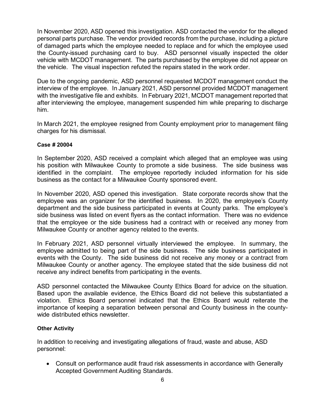In November 2020, ASD opened this investigation. ASD contacted the vendor for the alleged personal parts purchase. The vendor provided records from the purchase, including a picture of damaged parts which the employee needed to replace and for which the employee used the County-issued purchasing card to buy. ASD personnel visually inspected the older vehicle with MCDOT management. The parts purchased by the employee did not appear on the vehicle. The visual inspection refuted the repairs stated in the work order.

Due to the ongoing pandemic, ASD personnel requested MCDOT management conduct the interview of the employee. In January 2021, ASD personnel provided MCDOT management with the investigative file and exhibits. In February 2021, MCDOT management reported that after interviewing the employee, management suspended him while preparing to discharge him.

In March 2021, the employee resigned from County employment prior to management filing charges for his dismissal.

### **Case # 20004**

In September 2020, ASD received a complaint which alleged that an employee was using his position with Milwaukee County to promote a side business. The side business was identified in the complaint. The employee reportedly included information for his side business as the contact for a Milwaukee County sponsored event.

In November 2020, ASD opened this investigation. State corporate records show that the employee was an organizer for the identified business. In 2020, the employee's County department and the side business participated in events at County parks. The employee's side business was listed on event flyers as the contact information. There was no evidence that the employee or the side business had a contract with or received any money from Milwaukee County or another agency related to the events.

In February 2021, ASD personnel virtually interviewed the employee. In summary, the employee admitted to being part of the side business. The side business participated in events with the County. The side business did not receive any money or a contract from Milwaukee County or another agency. The employee stated that the side business did not receive any indirect benefits from participating in the events.

ASD personnel contacted the Milwaukee County Ethics Board for advice on the situation. Based upon the available evidence, the Ethics Board did not believe this substantiated a violation. Ethics Board personnel indicated that the Ethics Board would reiterate the importance of keeping a separation between personal and County business in the countywide distributed ethics newsletter.

# **Other Activity**

In addition to receiving and investigating allegations of fraud, waste and abuse, ASD personnel:

• Consult on performance audit fraud risk assessments in accordance with Generally Accepted Government Auditing Standards.